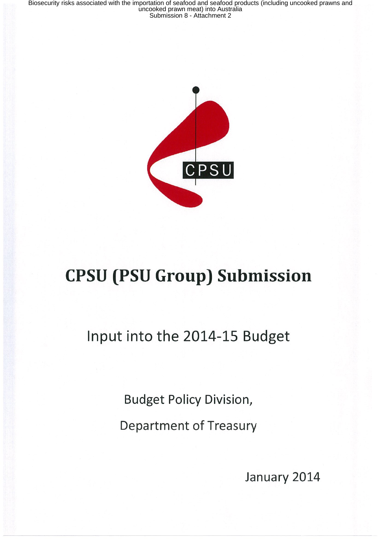

# CPSU (PSU Group) Submission

Input into the 2014-15 Budget

Budget Policy Division, Department of Treasury

January 2014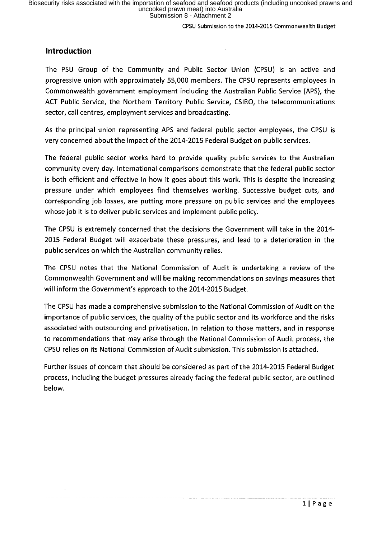# Introduction

The PSU Group of the Community and Public Sector Union (CPSU) is an active and progressive union with approximately 55,000 members. The CPSU represents employees in Commonwealth government employment including the Australian Public Service (APS), the ACT Public Service, the Northern Territory Public Service, CSIRO, the telecommunications sector, call centres, employment services and broadcasting.

As the principal union representing APS and federal public sector employees, the CPSU is very concerned about the impact of the 2014-2015 Federal Budget on public services.

The federal public sector works hard to provide quality public services to the Australian community every day. International comparisons demonstrate that the federal public sector is both efficient and effective in how it goes about this work. This is despite the increasing pressure under which employees find themselves working. Successive budget cuts, and corresponding job losses, are putting more pressure on public services and the employees whose job it is to deliver public services and implement public policy.

The CPSU is extremely concerned that the decisions the Government will take in the 2014-2015 Federal Budget will exacerbate these pressures, and lead to a deterioration in the public services on which the Australian community relies.

The CPSU notes that the National Commission of Audit is undertaking a review of the Commonwealth Government and will be making recommendations on savings measures that will inform the Government's approach to the 2014-2015 Budget.

The CPSU has made a comprehensive submission to the National Commission of Audit on the importance of public services, the quality of the public sector and its workforce and the risks associated with outsourcing and privatisation. In relation to those matters, and in response to recommendations that may arise through the National Commission of Audit process, the CPSU relies on its National Commission of Audit submission. This submission is attached.

Further issues of concern that should be considered as part of the 2014-2015 Federal Budget process, including the budget pressures already facing the federal public sector, are outlined below.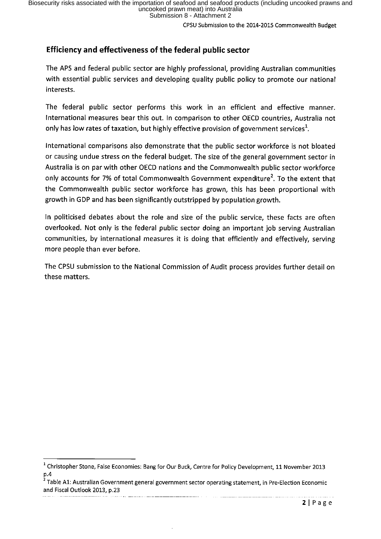# Efficiency and effectiveness of the federal public sector

The APS and federal public sector are highly professional, providing Australian communities with essential public services and developing quality public policy to promote our national interests.

The federal public sector performs this work in an efficient and effective manner. International measures bear this out. In comparison to other OECD countries, Australia not only has low rates of taxation, but highly effective provision of government services<sup>1</sup>.

International comparisons also demonstrate that the public sector workforce is not bloated or causing undue stress on the federal budget. The size of the general government sector in Australia is on par with other OECD nations and the Commonwealth public sector workforce only accounts for 7% of total Commonwealth Government expenditure'. To the extent that the Commonwealth public sector workforce has grown, this has been proportional with growth in GDP and has been significantly outstripped by population growth.

In politicised debates about the role and size of the public service, these facts are often overlooked. Not only is the federal public sector doing an important job serving Australian communities, by international measures it is doing that efficiently and effectiveIy, serving more people than ever before.

The CPSU submission to the National Commission of Audit process provides further detail on these matters.

 $^1$  Christopher Stone, False Economies: Bang for Our Buck, Centre for Policy Development, 11 November 2013 p, 4

Table A1: Australian Government general government sector operating statement, in Pre-Election Economic and Fiscal Outlook 2013, p.23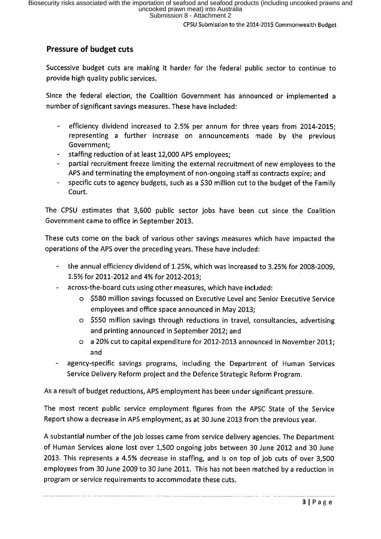# Pressure of budget cuts

Successive budget cuts are making it harder for the federal public sector to continue to provide high quality public services.

Since the federal election, the Coalition Government has announced or implemented a number of significant savings measures. These have included:

- efficiency dividend increased to 2.5% per annum for three years from 2014-2015;  $\Delta \sim 10^4$ representing a further increase on announcements made by the previous Government;
- staffing reduction of at least 12,000 APS employees;
- partial recruitment freeze limiting the external recruitment of new employees to the APS and terminating the employment of non-ongoing staff as contracts expire; and
- specific cuts to agency budgets, such as a \$30 million cut to the budget of the Family Court.

The CPSU estimates that 3,600 public sector jobs have been cut since the Coalition Government came to office in September 2013.

These cuts come on the back of various other savings measures which have impacted the operations of the APS over the preceding years. These have included:

- the annual efficiency dividend of 1.25%, which was increased to 3.25% for 2008-2009, 1.5% for 2011-2012 and 4% for 2012-2013;
- across-the-board cuts using other measures, which have included:
	- o \$580 million savings focussed on Executive Level and Senior Executive Service employees and office space announced in May 2013;
	- o \$550 million savings through reductions in travel, consultancies, advertising and printing announced in September 2012; and
	- $\circ$  a 20% cut to capital expenditure for 2012-2013 announced in November 2011; and
- agency-specific savings programs, including the Department of Human Services Service Delivery Reform project and the Defence Strategic Reform Program.

As a result of budget reductions, APS employment has been under significant pressure.

The most recent public service employment figures from the APSC State of the Service Report show a decrease in APS employment, as at 30 June 2013 from the previous year.

A substantial number of the job losses came from service delivery agencies. The Department of Human Services alone lost over 1,500 ongoing jobs between 30 June 2012 and 30 June 2013. This represents a 4.5% decrease in staffing, and is on top of job cuts of over 3,500 employees from 30 June 2009 to 30 June 2011. This has not been matched by a reduction in program or service requirements to accommodate these cuts.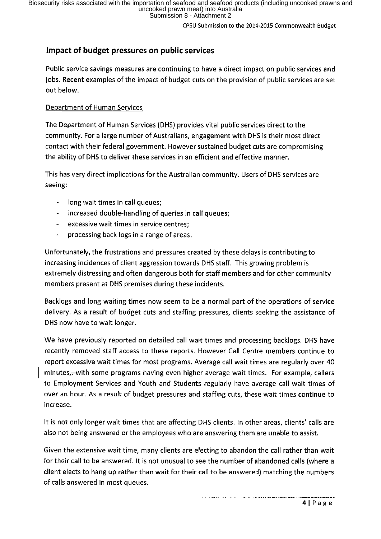CPSU Submission to the 2014-2015 Commonwealth Budget

# Impact of budget pressures on public services

Public service savings measures are continuing to have a direct impact on public services and jobs. Recent examples of the impact of budget cuts on the provision of public services are set out below.

### Department of Human Services

The Department of Human Services (DHS) provides vital public services direct to the community. For a large number of Australians, engagement with DHS is their most direct contact with their federal government. However sustained budget cuts are compromising the ability of DHS to deliver these services in an efficient and effective manner.

This has very direct implications for the Australian community. Users of DHS services are seeing:

- long wait times in call queues;
- increased double-handling of queries in call queues;  $\frac{1}{2} \left( \frac{1}{2} \right)$
- excessive wait times in service centres;  $\frac{1}{2}$  and  $\frac{1}{2}$
- processing back logs in a range of areas.  $\blacksquare$

Unfortunately, the frustrations and pressures created by these delays is contributing to increasing incidences of client aggression towards DHS staff. This growing problem is extremely distressing and often dangerous both for staff members and for other community members present at DHS premises during these incidents.

Backlogs and long waiting times now seem to be a normal part of the operations of service delivery. As a result of budget cuts and staffing pressures, clients seeking the assistance of DHS now have to wait longer.

We have previously reported on detailed call wait times and processing backlogs. DHS have recently removed staff access to these reports. However Call Centre members continue to report excessive wait times for most programs. Average call wait times are regularly over 40 minutes,-with some programs having even higher average wait times. For example, callers to Employment Services and Youth and Students regularly have average call wait times of over an hour. As a result of budget pressures and staffing cuts, these wait times continue to increase.

It is not only longer wait times that are affecting DHS clients. In other areas, clients' calls are also not being answered or the employees who are answering them are unable to assist.

Given the extensive wait time, many clients are electing to abandon the call rather than wait for their call to be answered. It is not unusual to see the number of abandoned calls (where a client elects to hang up rather than wait for their call to be answered) matching the numbers of calls answered in most queues.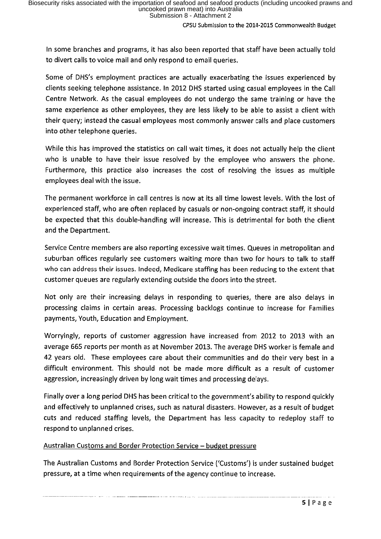In some branches and programs, it has also been reported that staff have been actually told to divert calls to voice mail and only respond to email queries.

Some of DHS's employment practices are actually exacerbating the issues experienced by clients seeking telephone assistance. In 2012 DHS started using casual employees in the Call Centre Network. As the casual employees do not undergo the same training or have the same experience as other employees, they are less likely to be able to assist a client with their query; instead the casual employees most commonly answer calls and place customers into other telephone queries.

While this has improved the statistics on call wait times, it does not actually help the client who is unable to have their issue resolved by the employee who answers the phone. Furthermore, this practice also increases the cost of resolving the issues as multiple employees deal with the issue.

The permanent workforce in call centres is now at its all time lowest levels. With the lost of experienced staff, who are often replaced by casuals or non-ongoing contract staff, it should be expected that this double-handling will increase. This is detrimental for both the client and the Department.

Service Centre members are also reporting excessive wait times. Queues in metropolitan and suburban offices regularly see customers waiting more than two for hours to talk to staff who can address their issues. Indeed, Medicare staffing has been reducing to the extent that customer queues are regularly extending outside the doors into the street.

Not only are their increasing delays in responding to queries, there are also delays in processing claims in certain areas. Processing backlogs continue to increase for Families payments, Youth, Education and Employment.

Worryingly, reports of customer aggression have increased from 2012 to 2013 with an average 665 reports per month as at November 2013. The average DHS worker is female and 42 Years old. These employees care about their communities and do their very best in a difficult environment. This should not be made more difficult as a result of customer aggression, increasingly driven by long wait times and processing delays.

Finally over a long period DHS has been critical to the government's ability to respond quickly and effectively to unplanned crises, such as natural disasters. However, as a result of budget cuts and reduced staffing levels, the Department has less capacity to redeploy staff to respond to unplanned crises.

## Australian Customs and Border Protection Service – budget pressure

The Australian Customs and Border Protection Service ('Customs') is under sustained budget pressure, at a time when requirements of the agency continue to increase.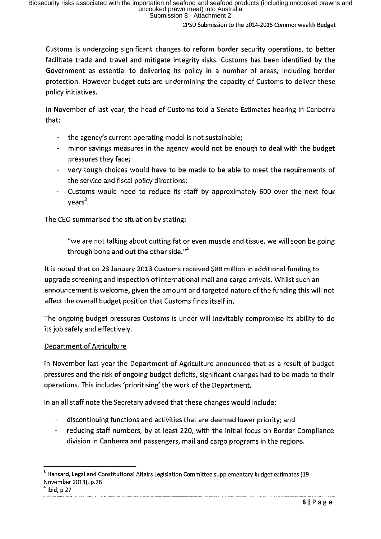Customs is undergoing significant changes to reform border security operations, to better facilitate trade and travel and mitigate integrity risks. Customs has been identified by the Government as essential to delivering its policy in a number of areas, including border protection. However budget cuts are undermining the capacity of Customs to deliver these policy initiatives.

In November of last year, the head of Customs told a Senate Estimates hearing in Canberra that:

- the agency's current operating model is not sustainable;  $\sim$
- minor savings measures in the agency would not be enough to deal with the budget  $\frac{1}{2}$  and  $\frac{1}{2}$ pressures they face;
- very tough choices would have to be made to be able to meet the requirements of the service and fiscal policy directions;
- Customs would need to reduce its staff by approximately 600 over the next four  $years<sup>3</sup>$ .

The CEO summarised the situation by stating:

"we are not talking about cutting fat or even muscle and tissue, we will soon be going through bone and out the other side."<sup>4</sup>

It is noted that on 23 January 2013 Customs received \$88 million in additional funding to upgrade screening and inspection of international mail and cargo arrivals. Whilst such an announcement is welcome, given the amount and targeted nature of the funding this will not affect the overall budget position that Customs finds itselfin.

The ongoing budget pressures Customs is under will inevitably compromise its ability to do its job safely and effectively.

## Department of Agriculture

In November last Year the Department of Agriculture announced that as a result of budget pressures and the risk of ongoing budget deficits, significant changes had to be made to their operations. This includes 'prioritising' the work of the Department.

In an all staff note the Secretary advised that these changes would include:

- discontinuing functions and activities that are deemed lower priority; and
- reducing staff numbers, by at least 220, with the initial focus on Border Compliance division in Canberra and passengers, mail and cargo programs in the regions.

 $^1$  Ibid, p.27

<sup>&</sup>lt;sup>3</sup> Hansard, Legal and Constitutional Affairs Legislation Committee supplementary budget estimates (19 November 2013), p. 26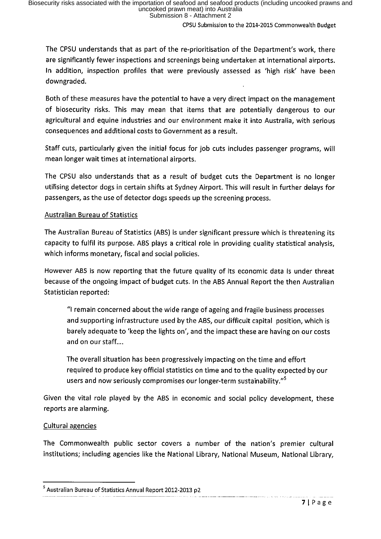The CPSU understands that as part of the re-prioritisation of the Department's work, there are significantly fewer inspections and screenings being undertaken at international airports. In addition, inspection profiles that were previously assessed as 'high risk' have been downgraded.

Both of these measures have the potential to have a very direct impact on the management of biosecurity risks. This may mean that items that are potentially dangerous to our agricultural and equine industries and our environment make it into Australia, with serious consequences and additional costs to Government as a result,

Staff cuts, particularly given the initial focus for job cuts includes passenger programs, will mean longer wait times at international airports.

The CPSU also understands that as a result of budget cuts the Department is no longer utilising detector dogs in certain shifts at Sydney Airport, This will result in further delays for passengers, as the use of detector dogs speeds up the screening process.

### Australian Bureau of Statistics

The Australian Bureau of Statistics (ABS) is under significant pressure which is threatening its capacity to fulfil its purpose. ABS plays a critical role in providing quality statistical analysis, which informs monetary, fiscal and social policies.

However ABS is now reporting that the future quality of its economic data is under threat because of the ongoing impact of budget cuts. In the ABS Annual Report the then Australian Statistician reported:

"I remain concerned about the wide range of ageing and fragile business processes and supporting infrastructure used by the ABS, our difficult capital position, which is barely adequate to 'keep the lights on', and the impact these are having on our costs and on our staff....

The overall situation has been progressively impacting on the time and effort required to produce key official statistics on time and to the quality expected by our users and now seriously compromises our longer-term sustainability."<sup>5</sup>

Given the vital role played by the ABS in economic and social policy development, these reports are alarming.

## Cultural agencies

The Commonwealth public sector covers a number of the nation's premier cultural institutions; including agencies like the National Library, National Museum, National Library,

<sup>&</sup>lt;sup>5</sup> Australian Bureau of Statistics Annual Report 2012-2013 p2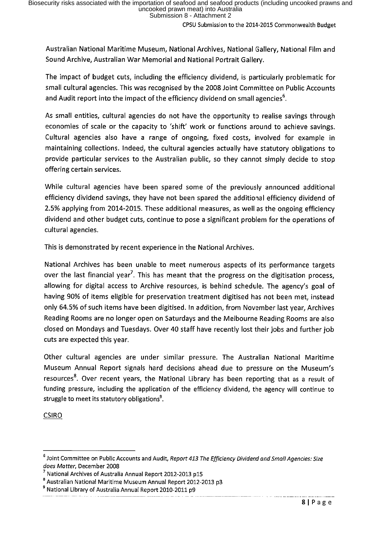Australian National Maritime Museum, National Archives, National Gallery, National Film and Sound Archive, Australian War Memorial and National Portrait Gallery.

The impact of budget cuts, including the efficiency dividend, is particularly problematic for small cultural agencies. This was recognised by the 2008 Joint Committee on Public Accounts and Audit report into the impact of the efficiency dividend on small agencies'.

As small entities, cultural agencies do not have the opportunity to realise savings through economies of scale or the capacity to 'shift' work or functions around to achieve savings. Cultural agencies also have a range of ongoing, fixed costs, involved for example in maintaining collections. Indeed, the cultural agencies actually have statutory obligations to provide particular services to the Australian public, so they cannot simply decide to stop offering certain services.

While cultural agencies have been spared some of the previously announced additional efficiency dividend savings, they have not been spared the additional efficiency dividend of 2.5% applying from 2014-2015. These additional measures, as well as the ongoing efficiency dividend and other budget cuts, continue to pose a significant problem for the operations of cultural agencies.

This is demonstrated by recent experience in the National Archives.

National Archives has been unable to meet numerous aspects of its performance targets over the last financial year<sup>7</sup>. This has meant that the progress on the digitisation process, allowing for digital access to Archive resources, is behind schedule. The agency's goal of having 90% of items eligible for preservation treatment digitised has not been met, instead only 64.5% of such items have been digitised. In addition, from November last year, Archives Reading Rooms are no longer open on Saturdays and the Melbourne Reading Rooms are also closed on Mondays and Tuesdays. Over 40 staff have recently lost their jobs and further job cuts are expected this year.

Other cultural agencies are under similar pressure. The Australian National Maritime Museum Annual Report signals hard decisions ahead due to pressure on the Museum's resources<sup>8</sup>. Over recent years, the National Library has been reporting that as a result of funding pressure, including the application of the efficiency dividend, the agency will continue to struggle to meet its statutory obligations'.

CSIRO

 $^6$  Joint Committee on Public Accounts and Audit, Report 413 The Efficiency Dividend and Small Agencies: Size does Matter, December 2008

 $\frac{\prime}{\rm s}$  National Archives of Australia Annual Report 2012-2013 p15

<sup>&</sup>lt;sup>8</sup> Australian National Maritime Museum Annual Report 2012-2013 p3

<sup>&</sup>lt;sup>9</sup> National Library of Australia Annual Report 2010-2011 p9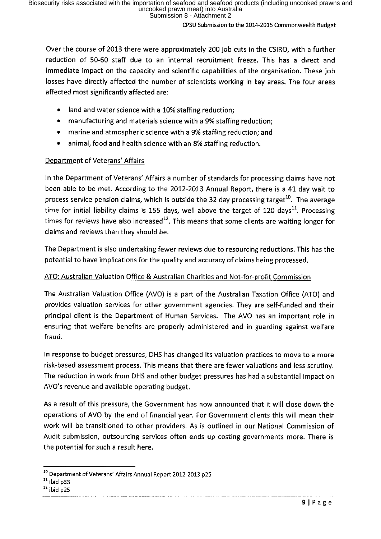Over the course of 2013 there were approximately 200 job cuts in the CSIRO, with a further reduction of 50-60 staff due to an internal recruitment freeze. This has a direct and immediate impact on the capacity and scientific capabilities of the organisation. These job losses have directly affected the number of scientists working in key areas. The four areas affected most significantly affected are:

- . land and water science with a 10% staffing reduction;
- . manufacturing and materials science with a 9% staffing reduction;
- . marine and atmospheric science with a 9% staffing reduction; and
- . animal, food and health science with an 8% staffing reduction.

## Department of Veterans' Affairs

In the Department of Veterans' Affairs a number of standards for processing claims have not been able to be met. According to the 2012-2013 Annual Report, there is a 41 day wait to process service pension claims, which is outside the 32 day processing target<sup>10</sup>. The average time for initial liability claims is 155 days, well above the target of 120 days<sup>11</sup>. Processing times for reviews have also increased<sup>12</sup>. This means that some clients are waiting longer for claims and reviews than they should be.

The Department is also undertaking fewer reviews due to resourcing reductions. This has the potential to have implications for the quality and accuracy of claims being processed.

## ATO: Australian Valuation Office & Australian Charities and Not-for-profit Commission

The Australian Valuation Office (AVO) is a part of the Australian Taxation Office (ATO) and provides valuation services for other government agencies. They are self-funded and their principal client is the Department of Human Services. The AVO has an important role in ensuring that welfare benefits are properly administered and in guarding against welfare fraud.

In response to budget pressures, DHS has changed its valuation practices to move to a more risk-based assessment process. This means that there are fewer valuations and less scrutiny. The reduction in work from DHS and other budget pressures has had a substantial impact on AVO's revenue and available operating budget.

As a result of this pressure, the Government has now announced that it will close down the operations of AVO by the end of financial year. For Government clients this will mean their work will be transitioned to other providers. As is outlined in our National Commission of Audit submission, outsourcing services often ends up costing governments more. There is the potential for such a result here.

<sup>&</sup>lt;sup>10</sup> Department of Veterans' Affairs Annual Report 2012-2013 p25

 $11$  ibid p33

 $12$  ibid p25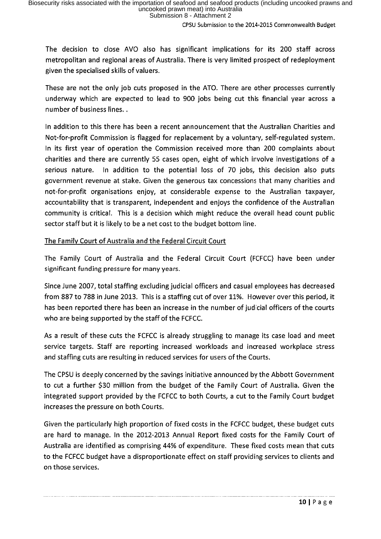CPSU Submission to the 2014-2015 Commonwealth Budget

The decision to close AVO also has significant implications for its 200 staff across metropolitan and regional areas of Australia. There is very limited prospect of redeployment given the specialised skills of valuers.

These are not the only job cuts proposed in the ATO. There are other processes currently underway which are expected to lead to 900 jobs being cut this financial year across a number of business lines. .

In addition to this there has been a recent announcement that the Australian Charities and Not-for-profit Commission is flagged for replacement by a voluntary, self-regulated system. In its first year of operation the Commission received more than 200 complaints about charities and there are currently 55 cases open, eight of which involve investigations of a serious nature, In addition to the potential loss of 70 jobs, this decision also puts government revenue at stake. Given the generous tax concessions that many charities and not-for-profit organisations enjoy, at considerable expense to the Australian taxpayer, accountability that is transparent, independent and enjoys the confidence of the Australian community is critical. This is a decision which might reduce the overall head count public sector staff but it is likely to be a net cost to the budget bottom line.

The Family Court of Australia and the Federal Circuit Court

The Family Court of Australia and the Federal Circuit Court (FCFCC) have been under significant funding pressure for many years,

Since June 2007, total staffing excluding judicial officers and casual employees has decreased from 887 to 788 in June 2013. This is a staffing cut of over 11%. However over this period, it has been reported there has been an increase in the number of judicial officers of the courts who are being supported by the staff of the FCFCC.

As a result of these cuts the FCFCC is already struggling to manage its case load and meet service targets. Staff are reporting increased workloads and increased workplace stress and staffing cuts are resulting in reduced services for users of the Courts.

The CPSU is deeply concerned by the savings initiative announced by the Abbott Government to cut a further \$30 million from the budget of the Family Court of Australia. Given the integrated support provided by the FCFCC to both Courts, a cut to the Family Court budget increases the pressure on both Courts.

Given the particularly high proportion of fixed costs in the FCFCC budget, these budget cuts are hard to manage. In the 2012-2013 Annual Report fixed costs for the Family Court of Australia are identified as comprising 44% of expenditure. These fixed costs mean that cuts to the FCFCC budget have a disproportionate effect on staff providing services to clients and on those services.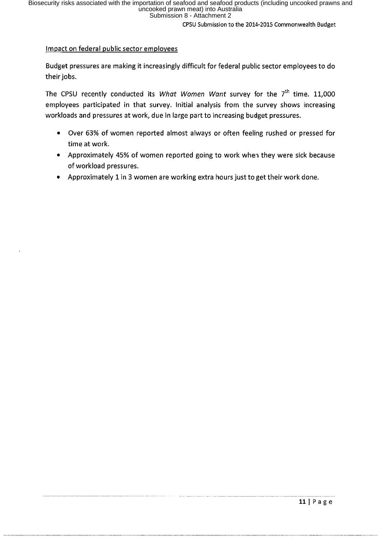CPSU Submission to the 2014-2015 Commonwealth Budget

#### Impact on federal public sector employees

Budget pressures are making it increasingly difficult for federal public sector employees to do their jobs.

The CPSU recently conducted its What Women Want survey for the  $7<sup>th</sup>$  time. 11,000 employees participated in that survey. Initial analysis from the survey shows increasing workloads and pressures at work, due in large part to increasing budget pressures.

- . Over 63% of women reported almost always or often feeling rushed or pressed for time at work.
- . Approximately 45% of women reported going to work when they were sick because of workload pressures.
- Approximately 1 in 3 women are working extra hours just to get their work done.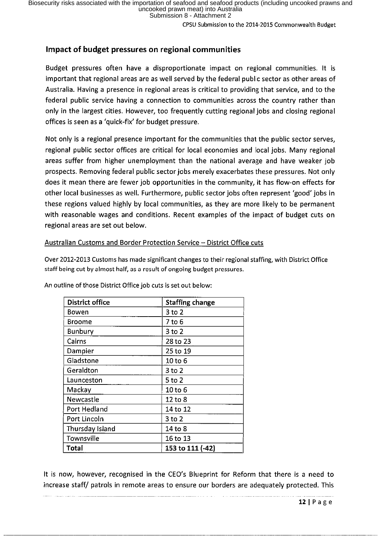CPSU Submission to the 2014-2015 Commonwealth Budget

# Impact of budget pressures on regional communities

Budget pressures often have a disproportionate impact on regional communities. It is important that regional areas are as well served by the federal public sector as other areas of Australia. Having a presence in regional areas is critical to providing that service, and to the federal public service having a connection to communities across the country rather than only in the largest cities. However, too frequently cutting regional jobs and closing regional offices is seen as a 'quick-fix' for budget pressure.

Not only is a regional presence important for the communities that the public sector serves, regional public sector offices are critical for local economies and local jobs. Many regional areas suffer from higher unemployment than the national average and have weaker job prospects. Removing federal public sector jobs merely exacerbates these pressures. Not only does it mean there are fewer job opportunities in the community, it has flow-on effects for other local businesses as well. Furthermore, public sector jobs often represent 'good' jobs in these regions valued highly by local communities, as they are more likely to be permanent with reasonable wages and conditions. Recent examples of the impact of budget cuts on regional areas are set out below.

#### Australian Customs and Border Protection Service - District Office cuts

Over 2012-2013 Customs has made significant changes to their regional staffing, with District Office staff being cut by almost half, as a result of ongoing budget pressures.

| <b>District office</b> | <b>Staffing change</b> |
|------------------------|------------------------|
| Bowen                  | 3 to 2                 |
| Broome                 | 7 to 6                 |
| Bunbury                | 3 to 2                 |
| Cairns                 | 28 to 23               |
| Dampier                | 25 to 19               |
| Gladstone              | 10 to 6                |
| Geraldton              | $3$ to $2$             |
| Launceston             | $5$ to $2$             |
| Mackay                 | 10 to 6                |
| Newcastle              | 12 to 8                |
| Port Hedland           | 14 to 12               |
| Port Lincoln           | 3 to 2                 |
| Thursday Island        | 14 to 8                |
| Townsville             | 16 to 13               |
| Total                  | 153 to 111 (-42)       |

An outline of those District Office job cuts is set out below:

It is now, however, recognised in the CEO's Blueprint for Reform that there is a need to increase staff/ patrols in remote areas to ensure our borders are adequately protected. This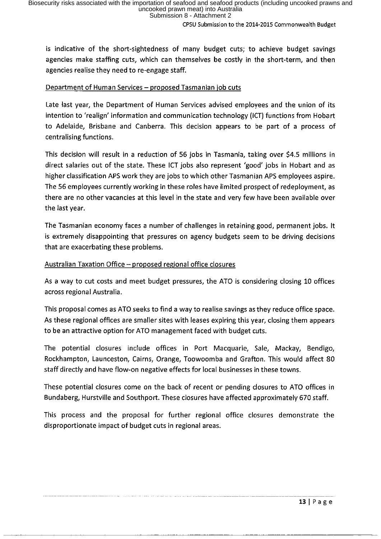CPSU Submission to the 2014-2015 Commonwealth Budget

is indicative of the short-sightedness of many budget cuts; to achieve budget savings agencies make staffing cuts, which can themselves be costly in the short-term, and then agencies realise they need to re-engage staff.

#### Department of Human Services - proposed Tasmanian job cuts

Late last year, the Department of Human Services advised employees and the union of its intention to 'realign' information and communication technology (ICT) functions from Hobart to Adelaide, Brisbane and Canberra. This decision appears to be part of a process of centralising functions.

This decision will result in a reduction of 56 jobs in Tasmania, taking over \$4.5 millions in direct salaries out of the state. These ICT jobs also represent 'good' jobs in Hobart and as higher classification APS work they are jobs to which other Tasmanian APS employees aspire. The 56 employees currently working in these roles have limited prospect of redeployment, as there are no other vacancies at this level in the state and very few have been available over the last year.

The Tasmanian economy faces a number of challenges in retaining good, permanent jobs. It is extremely disappointing that pressures on agency budgets seem to be driving decisions that are exacerbating these problems.

#### Australian Taxation Office  $-$  proposed regional office closures

As a way to cut costs and meet budget pressures, the ATO is considering closing 10 offices across regional Australia.

This proposal comes as ATO seeks to find a way to realise savings as they reduce office space. As these regional offices are smaller sites with leases expiring this Year, closing them appears to be an attractive option for ATO management faced with budget cuts.

The potential closures include offices in Port Macquarie, Sale, Mackay, Bendigo, Rockhampton, Launceston, Cairns, Orange, Toowoomba and Grafton. This would affect 80 staff directly and have flow-on negative effects for local businesses in these towns.

These potential closures come on the back of recent or pending closures to ATO offices in Bundaberg, Hurstville and Southport. These closures have affected approximately 670 staff.

This process and the proposal for further regional office closures demonstrate the disproportionate impact of budget cuts in regional areas.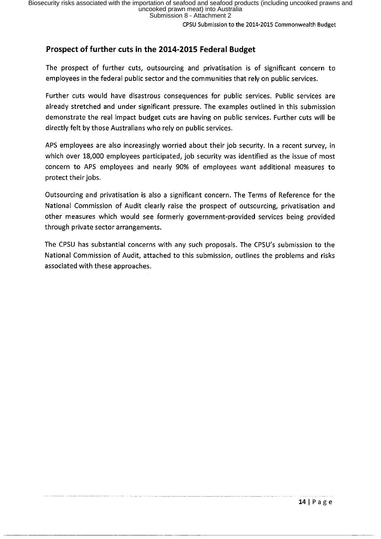CPSU Submission to the 2014-2015 Commonwealth Budget

# Prospect of further cuts in the 2014-2015 Federal Budget

The prospect of further cuts, outsourcing and privatisation is of significant concern to employees in the federal public sector and the communities that rely on public services.

Further cuts would have disastrous consequences for public services. Public services are already stretched and under significant pressure. The examples outlined in this submission demonstrate the real impact budget cuts are having on public services. Further cuts will be directly felt by those Australians who rely on public services.

APS employees are also increasingly worried about their job security. In a recent survey, in which over 18,000 employees participated, job security was identified as the issue of most concern to APS employees and nearly 90% of employees want additional measures to protect their jobs.

Outsourcing and privatisation is also a significant concern. The Terms of Reference for the National Commission of Audit clearly raise the prospect of outsourcing, privatisation and other measures which would see formerly government provided services being provided through private sector arrangements.

The CPSU has substantial concerns with any such proposals. The CPSU's submission to the National Commission of Audit, attached to this submission, outlines the problems and risks associated with these approaches.